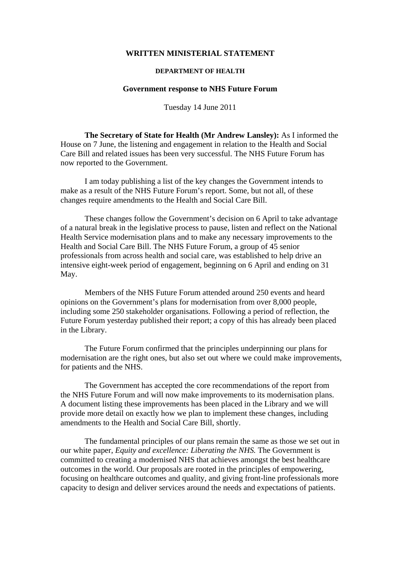## **WRITTEN MINISTERIAL STATEMENT**

## **DEPARTMENT OF HEALTH**

## **Government response to NHS Future Forum**

Tuesday 14 June 2011

 **The Secretary of State for Health (Mr Andrew Lansley):** As I informed the House on 7 June, the listening and engagement in relation to the Health and Social Care Bill and related issues has been very successful. The NHS Future Forum has now reported to the Government.

 I am today publishing a list of the key changes the Government intends to make as a result of the NHS Future Forum's report. Some, but not all, of these changes require amendments to the Health and Social Care Bill.

 These changes follow the Government's decision on 6 April to take advantage of a natural break in the legislative process to pause, listen and reflect on the National Health Service modernisation plans and to make any necessary improvements to the Health and Social Care Bill. The NHS Future Forum, a group of 45 senior professionals from across health and social care, was established to help drive an intensive eight-week period of engagement, beginning on 6 April and ending on 31 May.

 Members of the NHS Future Forum attended around 250 events and heard opinions on the Government's plans for modernisation from over 8,000 people, including some 250 stakeholder organisations. Following a period of reflection, the Future Forum yesterday published their report; a copy of this has already been placed in the Library.

 The Future Forum confirmed that the principles underpinning our plans for modernisation are the right ones, but also set out where we could make improvements, for patients and the NHS.

 The Government has accepted the core recommendations of the report from the NHS Future Forum and will now make improvements to its modernisation plans. A document listing these improvements has been placed in the Library and we will provide more detail on exactly how we plan to implement these changes, including amendments to the Health and Social Care Bill, shortly.

 The fundamental principles of our plans remain the same as those we set out in our white paper, *Equity and excellence: Liberating the NHS.* The Government is committed to creating a modernised NHS that achieves amongst the best healthcare outcomes in the world. Our proposals are rooted in the principles of empowering, focusing on healthcare outcomes and quality, and giving front-line professionals more capacity to design and deliver services around the needs and expectations of patients.